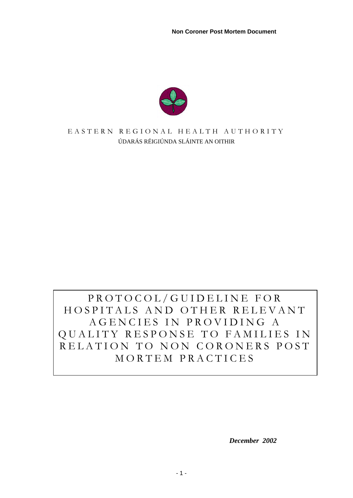**Non Coroner Post Mortem Document** 



#### E ASTERN REGIONAL HEALTH AUTHORITY ÚDARÁS RÉIGIÚNDA SLÁINTE AN OITHIR

# PROTOCOL/GUIDELINE FOR HOSPITALS AND OTHER RELEVANT AGENCIES IN PROVIDING A QUALITY RESPONSE TO FAMILIES IN RELATION TO NON CORONERS POST MORTEM PRACTICES

 *December 2002*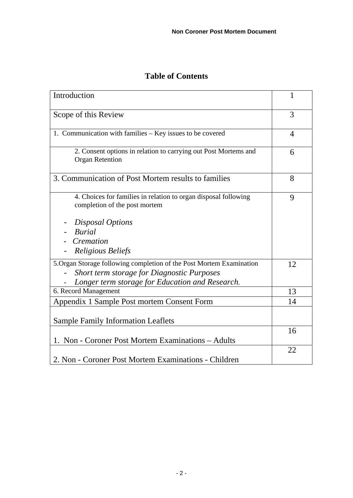| <b>Table of Contents</b> |  |
|--------------------------|--|
|--------------------------|--|

| Introduction                                                                                     | 1              |
|--------------------------------------------------------------------------------------------------|----------------|
| Scope of this Review                                                                             | 3              |
| 1. Communication with families – Key issues to be covered                                        | $\overline{4}$ |
| 2. Consent options in relation to carrying out Post Mortems and<br><b>Organ Retention</b>        | 6              |
| 3. Communication of Post Mortem results to families                                              | 8              |
| 4. Choices for families in relation to organ disposal following<br>completion of the post mortem | 9              |
| Disposal Options                                                                                 |                |
| <b>Burial</b>                                                                                    |                |
| Cremation                                                                                        |                |
| <b>Religious Beliefs</b>                                                                         |                |
| 5. Organ Storage following completion of the Post Mortem Examination                             | 12             |
| Short term storage for Diagnostic Purposes                                                       |                |
| Longer term storage for Education and Research.<br>6. Record Management                          | 13             |
|                                                                                                  |                |
| Appendix 1 Sample Post mortem Consent Form                                                       | 14             |
| <b>Sample Family Information Leaflets</b>                                                        |                |
| 1. Non - Coroner Post Mortem Examinations - Adults                                               | 16             |
|                                                                                                  | 22             |
| 2. Non - Coroner Post Mortem Examinations - Children                                             |                |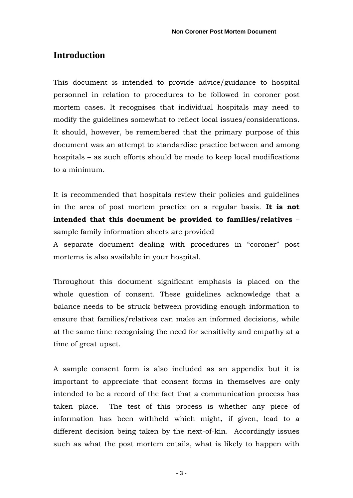# **Introduction**

This document is intended to provide advice/guidance to hospital personnel in relation to procedures to be followed in coroner post mortem cases. It recognises that individual hospitals may need to modify the guidelines somewhat to reflect local issues/considerations. It should, however, be remembered that the primary purpose of this document was an attempt to standardise practice between and among hospitals – as such efforts should be made to keep local modifications to a minimum.

It is recommended that hospitals review their policies and guidelines in the area of post mortem practice on a regular basis. **It is not intended that this document be provided to families/relatives** – sample family information sheets are provided

A separate document dealing with procedures in "coroner" post mortems is also available in your hospital.

Throughout this document significant emphasis is placed on the whole question of consent. These guidelines acknowledge that a balance needs to be struck between providing enough information to ensure that families/relatives can make an informed decisions, while at the same time recognising the need for sensitivity and empathy at a time of great upset.

A sample consent form is also included as an appendix but it is important to appreciate that consent forms in themselves are only intended to be a record of the fact that a communication process has taken place. The test of this process is whether any piece of information has been withheld which might, if given, lead to a different decision being taken by the next-of-kin. Accordingly issues such as what the post mortem entails, what is likely to happen with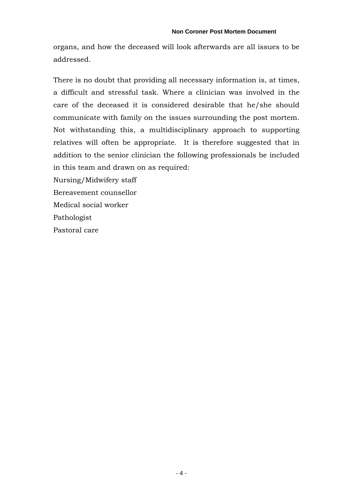organs, and how the deceased will look afterwards are all issues to be addressed.

There is no doubt that providing all necessary information is, at times, a difficult and stressful task. Where a clinician was involved in the care of the deceased it is considered desirable that he/she should communicate with family on the issues surrounding the post mortem. Not withstanding this, a multidisciplinary approach to supporting relatives will often be appropriate. It is therefore suggested that in addition to the senior clinician the following professionals be included in this team and drawn on as required:

Nursing/Midwifery staff

Bereavement counsellor

Medical social worker

Pathologist

Pastoral care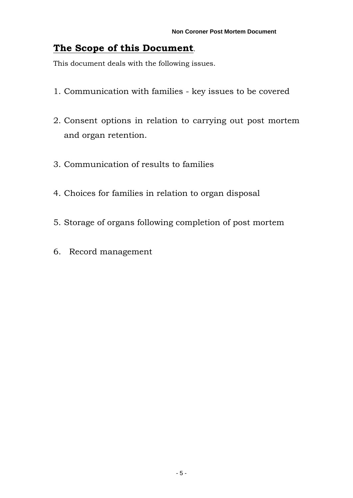# **The Scope of this Document**.

This document deals with the following issues.

- 1. Communication with families key issues to be covered
- 2. Consent options in relation to carrying out post mortem and organ retention.
- 3. Communication of results to families
- 4. Choices for families in relation to organ disposal
- 5. Storage of organs following completion of post mortem
- 6. Record management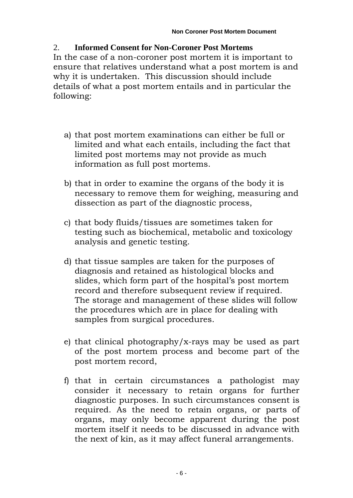# 2. **Informed Consent for Non-Coroner Post Mortems**

In the case of a non-coroner post mortem it is important to ensure that relatives understand what a post mortem is and why it is undertaken. This discussion should include details of what a post mortem entails and in particular the following:

- a) that post mortem examinations can either be full or limited and what each entails, including the fact that limited post mortems may not provide as much information as full post mortems.
- b) that in order to examine the organs of the body it is necessary to remove them for weighing, measuring and dissection as part of the diagnostic process,
- c) that body fluids/tissues are sometimes taken for testing such as biochemical, metabolic and toxicology analysis and genetic testing.
- d) that tissue samples are taken for the purposes of diagnosis and retained as histological blocks and slides, which form part of the hospital's post mortem record and therefore subsequent review if required. The storage and management of these slides will follow the procedures which are in place for dealing with samples from surgical procedures.
- e) that clinical photography/x-rays may be used as part of the post mortem process and become part of the post mortem record,
- f) that in certain circumstances a pathologist may consider it necessary to retain organs for further diagnostic purposes. In such circumstances consent is required. As the need to retain organs, or parts of organs, may only become apparent during the post mortem itself it needs to be discussed in advance with the next of kin, as it may affect funeral arrangements.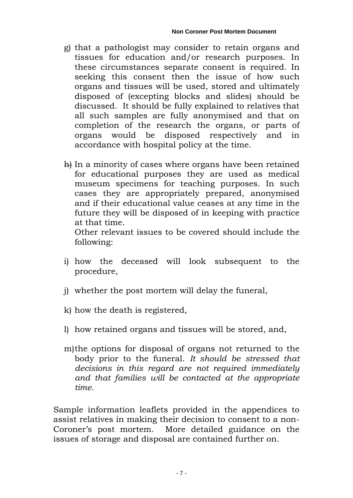- g) that a pathologist may consider to retain organs and tissues for education and/or research purposes. In these circumstances separate consent is required. In seeking this consent then the issue of how such organs and tissues will be used, stored and ultimately disposed of (excepting blocks and slides) should be discussed. It should be fully explained to relatives that all such samples are fully anonymised and that on completion of the research the organs, or parts of organs would be disposed respectively and in accordance with hospital policy at the time.
- h) In a minority of cases where organs have been retained for educational purposes they are used as medical museum specimens for teaching purposes. In such cases they are appropriately prepared, anonymised and if their educational value ceases at any time in the future they will be disposed of in keeping with practice at that time.

Other relevant issues to be covered should include the following:

- i) how the deceased will look subsequent to the procedure,
- j) whether the post mortem will delay the funeral,
- k) how the death is registered,
- l) how retained organs and tissues will be stored, and,
- m)the options for disposal of organs not returned to the body prior to the funeral. *It should be stressed that decisions in this regard are not required immediately and that families will be contacted at the appropriate time.*

Sample information leaflets provided in the appendices to assist relatives in making their decision to consent to a non-Coroner's post mortem. More detailed guidance on the issues of storage and disposal are contained further on.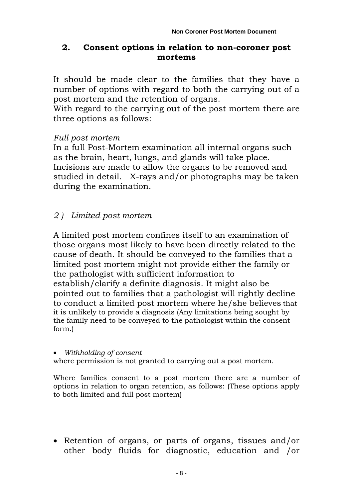### **2. Consent options in relation to non-coroner post mortems**

It should be made clear to the families that they have a number of options with regard to both the carrying out of a post mortem and the retention of organs.

With regard to the carrying out of the post mortem there are three options as follows:

#### *Full post mortem*

In a full Post-Mortem examination all internal organs such as the brain, heart, lungs, and glands will take place. Incisions are made to allow the organs to be removed and studied in detail. X-rays and/or photographs may be taken during the examination.

# *2 ) Limited post mortem*

A limited post mortem confines itself to an examination of those organs most likely to have been directly related to the cause of death. It should be conveyed to the families that a limited post mortem might not provide either the family or the pathologist with sufficient information to establish/clarify a definite diagnosis. It might also be pointed out to families that a pathologist will rightly decline to conduct a limited post mortem where he/she believes that it is unlikely to provide a diagnosis (Any limitations being sought by the family need to be conveyed to the pathologist within the consent form.)

#### *Withholding of consent*

where permission is not granted to carrying out a post mortem.

Where families consent to a post mortem there are a number of options in relation to organ retention, as follows: (These options apply to both limited and full post mortem)

 Retention of organs, or parts of organs, tissues and/or other body fluids for diagnostic, education and /or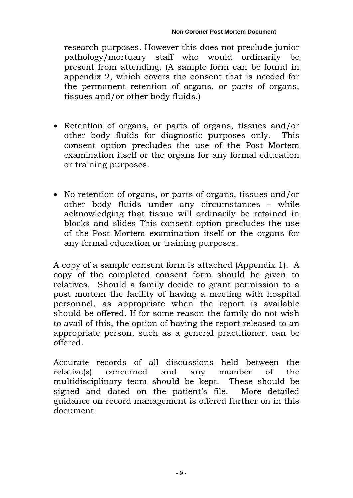research purposes. However this does not preclude junior pathology/mortuary staff who would ordinarily be present from attending. (A sample form can be found in appendix 2, which covers the consent that is needed for the permanent retention of organs, or parts of organs, tissues and/or other body fluids.)

- Retention of organs, or parts of organs, tissues and/or other body fluids for diagnostic purposes only. This consent option precludes the use of the Post Mortem examination itself or the organs for any formal education or training purposes.
- No retention of organs, or parts of organs, tissues and/or other body fluids under any circumstances – while acknowledging that tissue will ordinarily be retained in blocks and slides This consent option precludes the use of the Post Mortem examination itself or the organs for any formal education or training purposes.

A copy of a sample consent form is attached (Appendix 1). A copy of the completed consent form should be given to relatives. Should a family decide to grant permission to a post mortem the facility of having a meeting with hospital personnel, as appropriate when the report is available should be offered. If for some reason the family do not wish to avail of this, the option of having the report released to an appropriate person, such as a general practitioner, can be offered.

Accurate records of all discussions held between the relative(s) concerned and any member of the multidisciplinary team should be kept. These should be signed and dated on the patient's file. More detailed guidance on record management is offered further on in this document.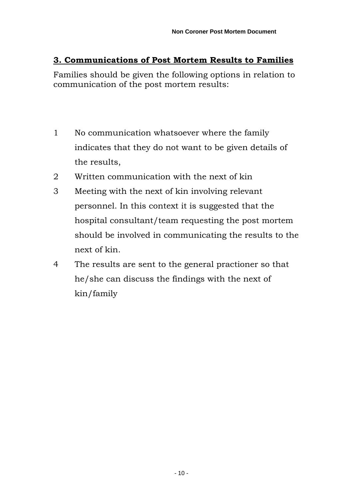# **3. Communications of Post Mortem Results to Families**

Families should be given the following options in relation to communication of the post mortem results:

- 1 No communication whatsoever where the family indicates that they do not want to be given details of the results,
- 2 Written communication with the next of kin
- 3 Meeting with the next of kin involving relevant personnel. In this context it is suggested that the hospital consultant/team requesting the post mortem should be involved in communicating the results to the next of kin.
- 4 The results are sent to the general practioner so that he/she can discuss the findings with the next of kin/family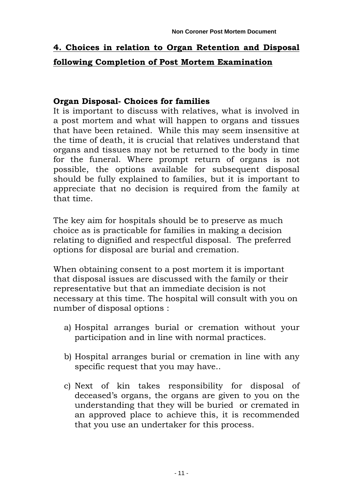# **4. Choices in relation to Organ Retention and Disposal following Completion of Post Mortem Examination**

### **Organ Disposal- Choices for families**

It is important to discuss with relatives, what is involved in a post mortem and what will happen to organs and tissues that have been retained. While this may seem insensitive at the time of death, it is crucial that relatives understand that organs and tissues may not be returned to the body in time for the funeral. Where prompt return of organs is not possible, the options available for subsequent disposal should be fully explained to families, but it is important to appreciate that no decision is required from the family at that time.

The key aim for hospitals should be to preserve as much choice as is practicable for families in making a decision relating to dignified and respectful disposal. The preferred options for disposal are burial and cremation.

When obtaining consent to a post mortem it is important that disposal issues are discussed with the family or their representative but that an immediate decision is not necessary at this time. The hospital will consult with you on number of disposal options :

- a) Hospital arranges burial or cremation without your participation and in line with normal practices.
- b) Hospital arranges burial or cremation in line with any specific request that you may have..
- c) Next of kin takes responsibility for disposal of deceased's organs, the organs are given to you on the understanding that they will be buried or cremated in an approved place to achieve this, it is recommended that you use an undertaker for this process.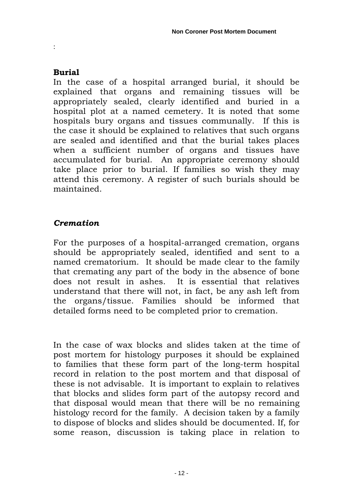#### **Burial**

:

In the case of a hospital arranged burial, it should be explained that organs and remaining tissues will be appropriately sealed, clearly identified and buried in a hospital plot at a named cemetery. It is noted that some hospitals bury organs and tissues communally. If this is the case it should be explained to relatives that such organs are sealed and identified and that the burial takes places when a sufficient number of organs and tissues have accumulated for burial. An appropriate ceremony should take place prior to burial. If families so wish they may attend this ceremony. A register of such burials should be maintained.

# *Cremation*

For the purposes of a hospital-arranged cremation, organs should be appropriately sealed, identified and sent to a named crematorium. It should be made clear to the family that cremating any part of the body in the absence of bone does not result in ashes. It is essential that relatives understand that there will not, in fact, be any ash left from the organs/tissue. Families should be informed that detailed forms need to be completed prior to cremation.

In the case of wax blocks and slides taken at the time of post mortem for histology purposes it should be explained to families that these form part of the long-term hospital record in relation to the post mortem and that disposal of these is not advisable. It is important to explain to relatives that blocks and slides form part of the autopsy record and that disposal would mean that there will be no remaining histology record for the family. A decision taken by a family to dispose of blocks and slides should be documented. If, for some reason, discussion is taking place in relation to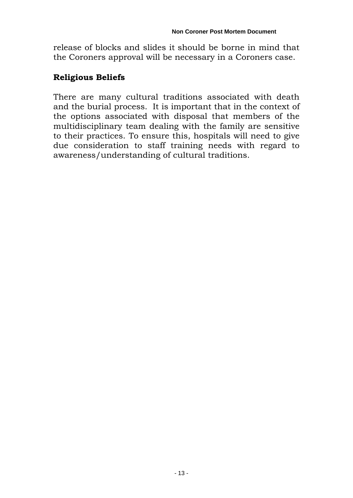release of blocks and slides it should be borne in mind that the Coroners approval will be necessary in a Coroners case.

# **Religious Beliefs**

There are many cultural traditions associated with death and the burial process. It is important that in the context of the options associated with disposal that members of the multidisciplinary team dealing with the family are sensitive to their practices. To ensure this, hospitals will need to give due consideration to staff training needs with regard to awareness/understanding of cultural traditions.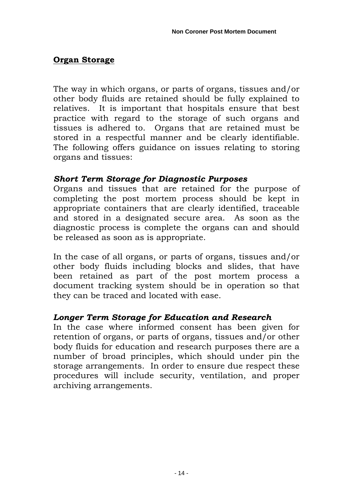# **Organ Storage**

The way in which organs, or parts of organs, tissues and/or other body fluids are retained should be fully explained to relatives. It is important that hospitals ensure that best practice with regard to the storage of such organs and tissues is adhered to. Organs that are retained must be stored in a respectful manner and be clearly identifiable. The following offers guidance on issues relating to storing organs and tissues:

# *Short Term Storage for Diagnostic Purposes*

Organs and tissues that are retained for the purpose of completing the post mortem process should be kept in appropriate containers that are clearly identified, traceable and stored in a designated secure area. As soon as the diagnostic process is complete the organs can and should be released as soon as is appropriate.

In the case of all organs, or parts of organs, tissues and/or other body fluids including blocks and slides, that have been retained as part of the post mortem process a document tracking system should be in operation so that they can be traced and located with ease.

# *Longer Term Storage for Education and Research*

In the case where informed consent has been given for retention of organs, or parts of organs, tissues and/or other body fluids for education and research purposes there are a number of broad principles, which should under pin the storage arrangements. In order to ensure due respect these procedures will include security, ventilation, and proper archiving arrangements.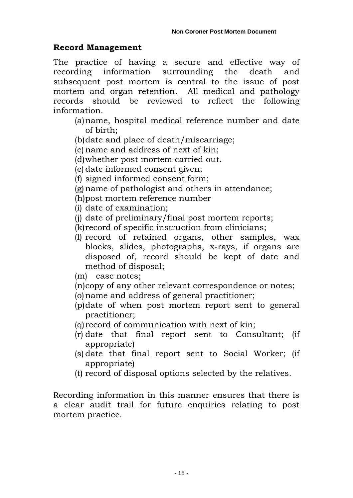# **Record Management**

The practice of having a secure and effective way of recording information surrounding the death and subsequent post mortem is central to the issue of post mortem and organ retention. All medical and pathology records should be reviewed to reflect the following information.

- (a)name, hospital medical reference number and date of birth;
- (b)date and place of death/miscarriage;
- (c) name and address of next of kin;
- (d)whether post mortem carried out.
- (e) date informed consent given;
- (f) signed informed consent form;
- (g)name of pathologist and others in attendance;
- (h)post mortem reference number
- (i) date of examination;
- (j) date of preliminary/final post mortem reports;
- (k)record of specific instruction from clinicians;
- (l) record of retained organs, other samples, wax blocks, slides, photographs, x-rays, if organs are disposed of, record should be kept of date and method of disposal;
- (m) case notes;
- (n)copy of any other relevant correspondence or notes;
- (o)name and address of general practitioner;
- (p)date of when post mortem report sent to general practitioner;
- (q)record of communication with next of kin;
- (r) date that final report sent to Consultant; (if appropriate)
- (s) date that final report sent to Social Worker; (if appropriate)
- (t) record of disposal options selected by the relatives.

Recording information in this manner ensures that there is a clear audit trail for future enquiries relating to post mortem practice.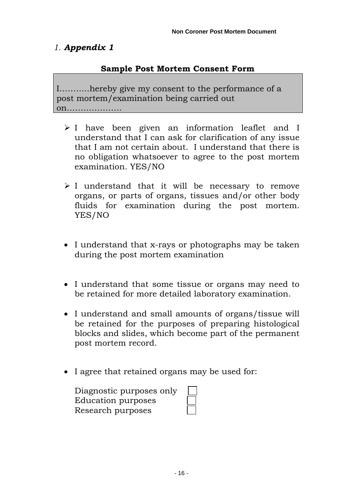# *1. Appendix 1*

### **Sample Post Mortem Consent Form**

I………..hereby give my consent to the performance of a post mortem/examination being carried out on………………..

- I have been given an information leaflet and I understand that I can ask for clarification of any issue that I am not certain about. I understand that there is no obligation whatsoever to agree to the post mortem examination. YES/NO
- $\geq 1$  understand that it will be necessary to remove organs, or parts of organs, tissues and/or other body fluids for examination during the post mortem. YES/NO
- I understand that x-rays or photographs may be taken during the post mortem examination
- I understand that some tissue or organs may need to be retained for more detailed laboratory examination.
- I understand and small amounts of organs/tissue will be retained for the purposes of preparing histological blocks and slides, which become part of the permanent post mortem record.
- I agree that retained organs may be used for:

| Diagnostic purposes only |  |
|--------------------------|--|
| Education purposes       |  |
| Research purposes        |  |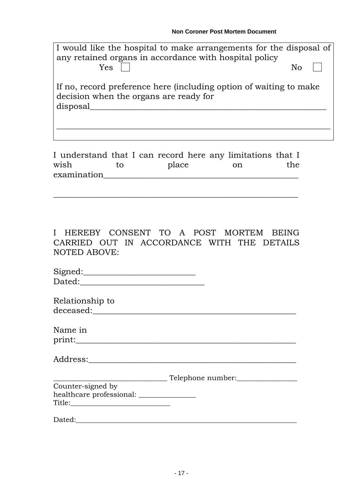| I would like the hospital to make arrangements for the disposal of<br>any retained organs in accordance with hospital policy<br>Yes. | No |  |
|--------------------------------------------------------------------------------------------------------------------------------------|----|--|
| If no, record preference here (including option of waiting to make<br>decision when the organs are ready for<br>disposal             |    |  |
|                                                                                                                                      |    |  |

| I understand that I can record here any limitations that I |       |       |  |      |     |
|------------------------------------------------------------|-------|-------|--|------|-----|
| wish                                                       | to to | place |  | - on | the |
| examination                                                |       |       |  |      |     |

\_\_\_\_\_\_\_\_\_\_\_\_\_\_\_\_\_\_\_\_\_\_\_\_\_\_\_\_\_\_\_\_\_\_\_\_\_\_\_\_\_\_\_\_\_\_\_\_\_\_\_\_\_\_\_\_\_\_\_

I HEREBY CONSENT TO A POST MORTEM BEING CARRIED OUT IN ACCORDANCE WITH THE DETAILS NOTED ABOVE:

| Signed: |  |  |  |
|---------|--|--|--|
| Dated:  |  |  |  |

| Relationship to |  |
|-----------------|--|
| deceased:       |  |

| Name in |  |  |
|---------|--|--|
| print:  |  |  |
|         |  |  |

| Address:<br>lraaa' |  |  |  |
|--------------------|--|--|--|
|                    |  |  |  |

|                          | Telephone number: |
|--------------------------|-------------------|
| Counter-signed by        |                   |
| healthcare professional: |                   |
| Title:                   |                   |

Dated:\_\_\_\_\_\_\_\_\_\_\_\_\_\_\_\_\_\_\_\_\_\_\_\_\_\_\_\_\_\_\_\_\_\_\_\_\_\_\_\_\_\_\_\_\_\_\_\_\_\_\_\_\_\_\_\_\_\_\_\_\_\_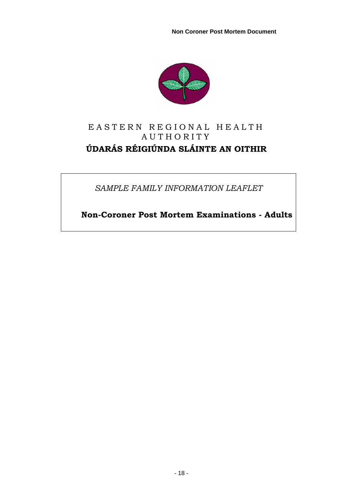**Non Coroner Post Mortem Document** 



# EASTERN REGIONAL HEALTH AUTHORITY **ÚDARÁS RÉIGIÚNDA SLÁINTE AN OITHIR**

*SAMPLE FAMILY INFORMATION LEAFLET* 

 **Non-Coroner Post Mortem Examinations - Adults**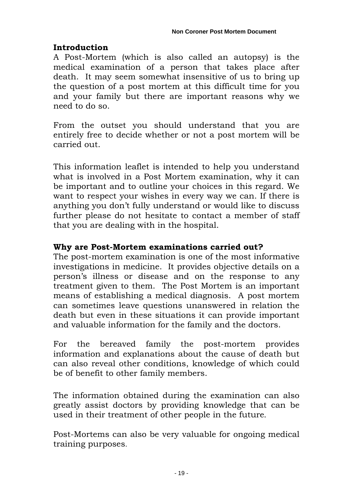# **Introduction**

A Post-Mortem (which is also called an autopsy) is the medical examination of a person that takes place after death. It may seem somewhat insensitive of us to bring up the question of a post mortem at this difficult time for you and your family but there are important reasons why we need to do so.

From the outset you should understand that you are entirely free to decide whether or not a post mortem will be carried out.

This information leaflet is intended to help you understand what is involved in a Post Mortem examination, why it can be important and to outline your choices in this regard. We want to respect your wishes in every way we can. If there is anything you don't fully understand or would like to discuss further please do not hesitate to contact a member of staff that you are dealing with in the hospital.

# **Why are Post-Mortem examinations carried out?**

The post-mortem examination is one of the most informative investigations in medicine. It provides objective details on a person's illness or disease and on the response to any treatment given to them. The Post Mortem is an important means of establishing a medical diagnosis. A post mortem can sometimes leave questions unanswered in relation the death but even in these situations it can provide important and valuable information for the family and the doctors.

For the bereaved family the post-mortem provides information and explanations about the cause of death but can also reveal other conditions, knowledge of which could be of benefit to other family members.

The information obtained during the examination can also greatly assist doctors by providing knowledge that can be used in their treatment of other people in the future.

Post-Mortems can also be very valuable for ongoing medical training purposes.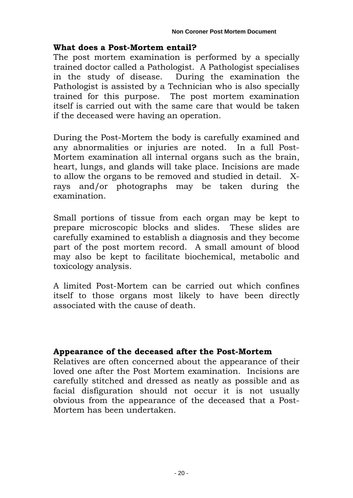### **What does a Post-Mortem entail?**

The post mortem examination is performed by a specially trained doctor called a Pathologist. A Pathologist specialises in the study of disease. During the examination the Pathologist is assisted by a Technician who is also specially trained for this purpose. The post mortem examination itself is carried out with the same care that would be taken if the deceased were having an operation.

During the Post-Mortem the body is carefully examined and any abnormalities or injuries are noted. In a full Post-Mortem examination all internal organs such as the brain, heart, lungs, and glands will take place. Incisions are made to allow the organs to be removed and studied in detail. Xrays and/or photographs may be taken during the examination.

Small portions of tissue from each organ may be kept to prepare microscopic blocks and slides. These slides are carefully examined to establish a diagnosis and they become part of the post mortem record. A small amount of blood may also be kept to facilitate biochemical, metabolic and toxicology analysis.

A limited Post-Mortem can be carried out which confines itself to those organs most likely to have been directly associated with the cause of death.

# **Appearance of the deceased after the Post-Mortem**

Relatives are often concerned about the appearance of their loved one after the Post Mortem examination. Incisions are carefully stitched and dressed as neatly as possible and as facial disfiguration should not occur it is not usually obvious from the appearance of the deceased that a Post-Mortem has been undertaken.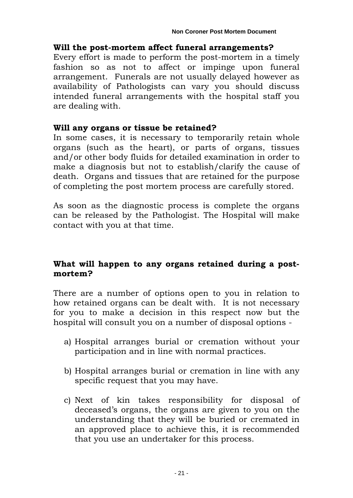# **Will the post-mortem affect funeral arrangements?**

Every effort is made to perform the post-mortem in a timely fashion so as not to affect or impinge upon funeral arrangement. Funerals are not usually delayed however as availability of Pathologists can vary you should discuss intended funeral arrangements with the hospital staff you are dealing with.

# **Will any organs or tissue be retained?**

In some cases, it is necessary to temporarily retain whole organs (such as the heart), or parts of organs, tissues and/or other body fluids for detailed examination in order to make a diagnosis but not to establish/clarify the cause of death. Organs and tissues that are retained for the purpose of completing the post mortem process are carefully stored.

As soon as the diagnostic process is complete the organs can be released by the Pathologist. The Hospital will make contact with you at that time.

# **What will happen to any organs retained during a postmortem?**

There are a number of options open to you in relation to how retained organs can be dealt with. It is not necessary for you to make a decision in this respect now but the hospital will consult you on a number of disposal options -

- a) Hospital arranges burial or cremation without your participation and in line with normal practices.
- b) Hospital arranges burial or cremation in line with any specific request that you may have.
- c) Next of kin takes responsibility for disposal of deceased's organs, the organs are given to you on the understanding that they will be buried or cremated in an approved place to achieve this, it is recommended that you use an undertaker for this process.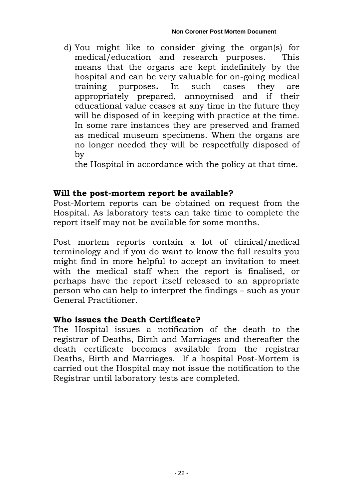d) You might like to consider giving the organ(s) for medical/education and research purposes. This means that the organs are kept indefinitely by the hospital and can be very valuable for on-going medical training purposes**.** In such cases they are appropriately prepared, annoymised and if their educational value ceases at any time in the future they will be disposed of in keeping with practice at the time. In some rare instances they are preserved and framed as medical museum specimens. When the organs are no longer needed they will be respectfully disposed of by

the Hospital in accordance with the policy at that time.

# **Will the post-mortem report be available?**

Post-Mortem reports can be obtained on request from the Hospital. As laboratory tests can take time to complete the report itself may not be available for some months.

Post mortem reports contain a lot of clinical/medical terminology and if you do want to know the full results you might find in more helpful to accept an invitation to meet with the medical staff when the report is finalised, or perhaps have the report itself released to an appropriate person who can help to interpret the findings – such as your General Practitioner.

### **Who issues the Death Certificate?**

The Hospital issues a notification of the death to the registrar of Deaths, Birth and Marriages and thereafter the death certificate becomes available from the registrar Deaths, Birth and Marriages. If a hospital Post-Mortem is carried out the Hospital may not issue the notification to the Registrar until laboratory tests are completed.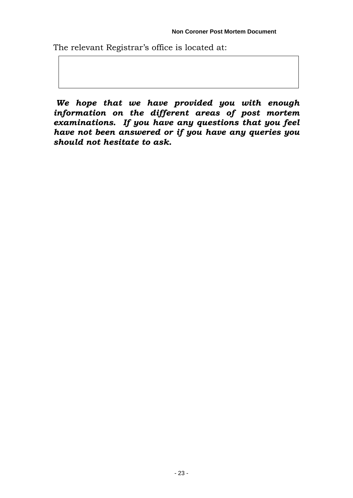The relevant Registrar's office is located at:

*We hope that we have provided you with enough information on the different areas of post mortem examinations. If you have any questions that you feel have not been answered or if you have any queries you should not hesitate to ask.*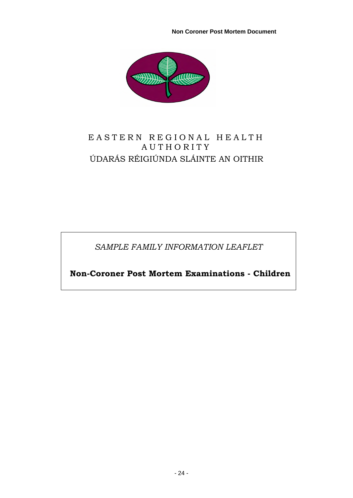**Non Coroner Post Mortem Document** 



# EASTERN REGIONAL HEALTH AUTHORITY ÚDARÁS RÉIGIÚNDA SLÁINTE AN OITHIR

*SAMPLE FAMILY INFORMATION LEAFLET* 

 **Non-Coroner Post Mortem Examinations - Children**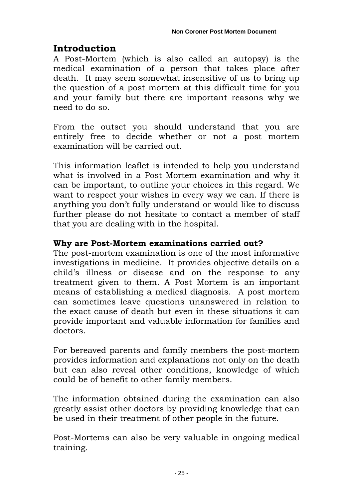# **Introduction**

A Post-Mortem (which is also called an autopsy) is the medical examination of a person that takes place after death. It may seem somewhat insensitive of us to bring up the question of a post mortem at this difficult time for you and your family but there are important reasons why we need to do so.

From the outset you should understand that you are entirely free to decide whether or not a post mortem examination will be carried out.

This information leaflet is intended to help you understand what is involved in a Post Mortem examination and why it can be important, to outline your choices in this regard. We want to respect your wishes in every way we can. If there is anything you don't fully understand or would like to discuss further please do not hesitate to contact a member of staff that you are dealing with in the hospital.

# **Why are Post-Mortem examinations carried out?**

The post-mortem examination is one of the most informative investigations in medicine. It provides objective details on a child's illness or disease and on the response to any treatment given to them. A Post Mortem is an important means of establishing a medical diagnosis. A post mortem can sometimes leave questions unanswered in relation to the exact cause of death but even in these situations it can provide important and valuable information for families and doctors.

For bereaved parents and family members the post-mortem provides information and explanations not only on the death but can also reveal other conditions, knowledge of which could be of benefit to other family members.

The information obtained during the examination can also greatly assist other doctors by providing knowledge that can be used in their treatment of other people in the future.

Post-Mortems can also be very valuable in ongoing medical training.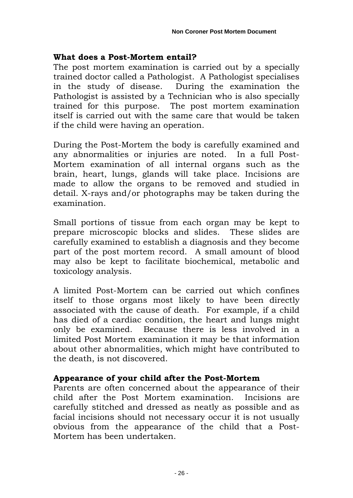#### **What does a Post-Mortem entail?**

The post mortem examination is carried out by a specially trained doctor called a Pathologist. A Pathologist specialises in the study of disease. During the examination the Pathologist is assisted by a Technician who is also specially trained for this purpose. The post mortem examination itself is carried out with the same care that would be taken if the child were having an operation.

During the Post-Mortem the body is carefully examined and any abnormalities or injuries are noted. In a full Post-Mortem examination of all internal organs such as the brain, heart, lungs, glands will take place. Incisions are made to allow the organs to be removed and studied in detail. X-rays and/or photographs may be taken during the examination.

Small portions of tissue from each organ may be kept to prepare microscopic blocks and slides. These slides are carefully examined to establish a diagnosis and they become part of the post mortem record. A small amount of blood may also be kept to facilitate biochemical, metabolic and toxicology analysis.

A limited Post-Mortem can be carried out which confines itself to those organs most likely to have been directly associated with the cause of death. For example, if a child has died of a cardiac condition, the heart and lungs might only be examined. Because there is less involved in a limited Post Mortem examination it may be that information about other abnormalities, which might have contributed to the death, is not discovered.

### **Appearance of your child after the Post-Mortem**

Parents are often concerned about the appearance of their child after the Post Mortem examination. Incisions are carefully stitched and dressed as neatly as possible and as facial incisions should not necessary occur it is not usually obvious from the appearance of the child that a Post-Mortem has been undertaken.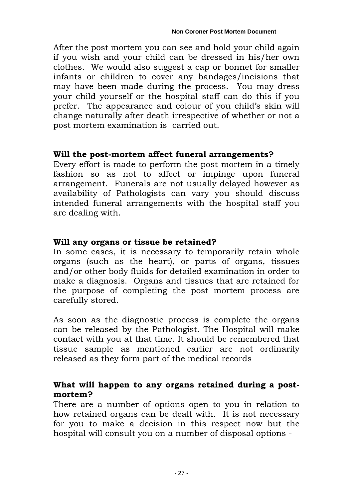After the post mortem you can see and hold your child again if you wish and your child can be dressed in his/her own clothes. We would also suggest a cap or bonnet for smaller infants or children to cover any bandages/incisions that may have been made during the process. You may dress your child yourself or the hospital staff can do this if you prefer. The appearance and colour of you child's skin will change naturally after death irrespective of whether or not a post mortem examination is carried out.

# **Will the post-mortem affect funeral arrangements?**

Every effort is made to perform the post-mortem in a timely fashion so as not to affect or impinge upon funeral arrangement. Funerals are not usually delayed however as availability of Pathologists can vary you should discuss intended funeral arrangements with the hospital staff you are dealing with.

# **Will any organs or tissue be retained?**

In some cases, it is necessary to temporarily retain whole organs (such as the heart), or parts of organs, tissues and/or other body fluids for detailed examination in order to make a diagnosis. Organs and tissues that are retained for the purpose of completing the post mortem process are carefully stored.

As soon as the diagnostic process is complete the organs can be released by the Pathologist. The Hospital will make contact with you at that time. It should be remembered that tissue sample as mentioned earlier are not ordinarily released as they form part of the medical records

# **What will happen to any organs retained during a postmortem?**

There are a number of options open to you in relation to how retained organs can be dealt with. It is not necessary for you to make a decision in this respect now but the hospital will consult you on a number of disposal options -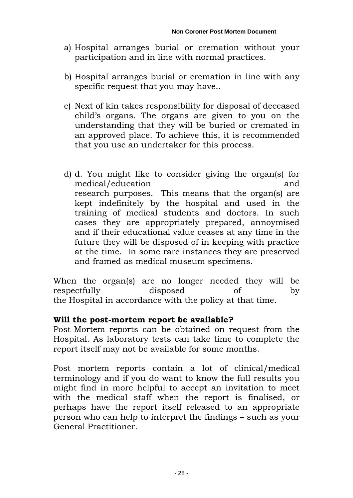- a) Hospital arranges burial or cremation without your participation and in line with normal practices.
- b) Hospital arranges burial or cremation in line with any specific request that you may have..
- c) Next of kin takes responsibility for disposal of deceased child's organs. The organs are given to you on the understanding that they will be buried or cremated in an approved place. To achieve this, it is recommended that you use an undertaker for this process.
- d) d. You might like to consider giving the organ(s) for medical/education and research purposes. This means that the organ(s) are kept indefinitely by the hospital and used in the training of medical students and doctors. In such cases they are appropriately prepared, annoymised and if their educational value ceases at any time in the future they will be disposed of in keeping with practice at the time. In some rare instances they are preserved and framed as medical museum specimens.

When the organ(s) are no longer needed they will be respectfully disposed of by the Hospital in accordance with the policy at that time.

### **Will the post-mortem report be available?**

Post-Mortem reports can be obtained on request from the Hospital. As laboratory tests can take time to complete the report itself may not be available for some months.

Post mortem reports contain a lot of clinical/medical terminology and if you do want to know the full results you might find in more helpful to accept an invitation to meet with the medical staff when the report is finalised, or perhaps have the report itself released to an appropriate person who can help to interpret the findings – such as your General Practitioner.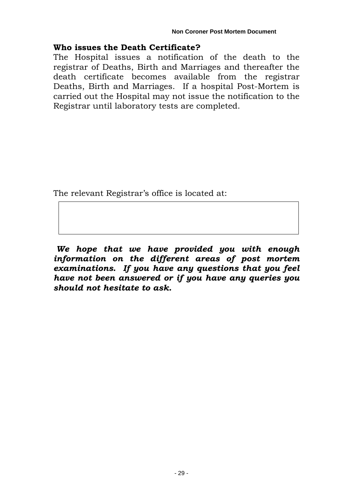# **Who issues the Death Certificate?**

The Hospital issues a notification of the death to the registrar of Deaths, Birth and Marriages and thereafter the death certificate becomes available from the registrar Deaths, Birth and Marriages. If a hospital Post-Mortem is carried out the Hospital may not issue the notification to the Registrar until laboratory tests are completed.

The relevant Registrar's office is located at:

*We hope that we have provided you with enough information on the different areas of post mortem examinations. If you have any questions that you feel have not been answered or if you have any queries you should not hesitate to ask.*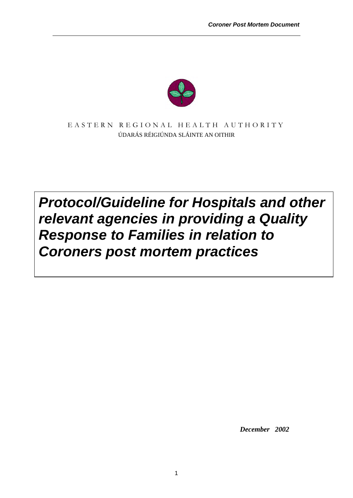

EASTERN REGIONAL HEALTH AUTHORITY ÚDARÁS RÉIGIÚNDA SLÁINTE AN OITHIR

# *Protocol/Guideline for Hospitals and other relevant agencies in providing a Quality Response to Families in relation to Coroners post mortem practices*

 *December 2002*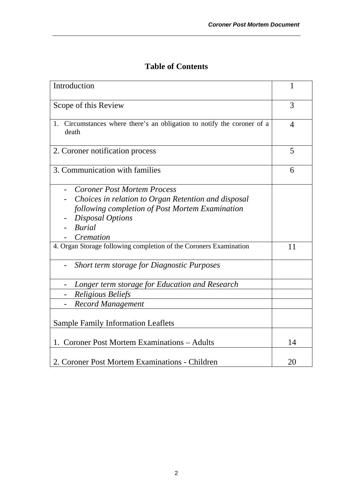| Introduction                                                                                                                                                                                          | $\mathbf{1}$   |
|-------------------------------------------------------------------------------------------------------------------------------------------------------------------------------------------------------|----------------|
| Scope of this Review                                                                                                                                                                                  | 3              |
| 1. Circumstances where there's an obligation to notify the coroner of a<br>death                                                                                                                      | $\overline{4}$ |
| 2. Coroner notification process                                                                                                                                                                       | 5              |
| 3. Communication with families                                                                                                                                                                        | 6              |
| <b>Coroner Post Mortem Process</b><br>Choices in relation to Organ Retention and disposal<br>following completion of Post Mortem Examination<br><b>Disposal Options</b><br><b>Burial</b><br>Cremation |                |
| 4. Organ Storage following completion of the Coroners Examination                                                                                                                                     | 11             |
| Short term storage for Diagnostic Purposes                                                                                                                                                            |                |
| Longer term storage for Education and Research                                                                                                                                                        |                |
| <b>Religious Beliefs</b>                                                                                                                                                                              |                |
| <b>Record Management</b>                                                                                                                                                                              |                |
| <b>Sample Family Information Leaflets</b>                                                                                                                                                             |                |
| 1. Coroner Post Mortem Examinations - Adults                                                                                                                                                          | 14             |
| 2. Coroner Post Mortem Examinations - Children                                                                                                                                                        | 20             |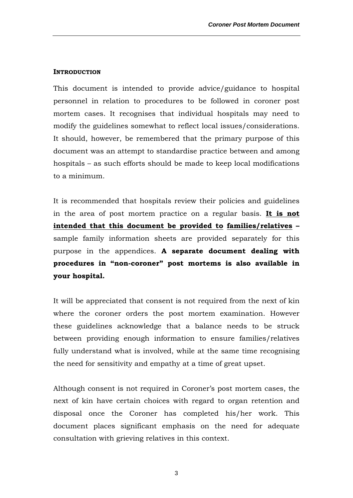#### **INTRODUCTION**

This document is intended to provide advice/guidance to hospital personnel in relation to procedures to be followed in coroner post mortem cases. It recognises that individual hospitals may need to modify the guidelines somewhat to reflect local issues/considerations. It should, however, be remembered that the primary purpose of this document was an attempt to standardise practice between and among hospitals – as such efforts should be made to keep local modifications to a minimum.

It is recommended that hospitals review their policies and guidelines in the area of post mortem practice on a regular basis. **It is not intended that this document be provided to families/relatives –**  sample family information sheets are provided separately for this purpose in the appendices. **A separate document dealing with procedures in "non-coroner" post mortems is also available in your hospital.** 

It will be appreciated that consent is not required from the next of kin where the coroner orders the post mortem examination. However these guidelines acknowledge that a balance needs to be struck between providing enough information to ensure families/relatives fully understand what is involved, while at the same time recognising the need for sensitivity and empathy at a time of great upset.

Although consent is not required in Coroner's post mortem cases, the next of kin have certain choices with regard to organ retention and disposal once the Coroner has completed his/her work. This document places significant emphasis on the need for adequate consultation with grieving relatives in this context.

3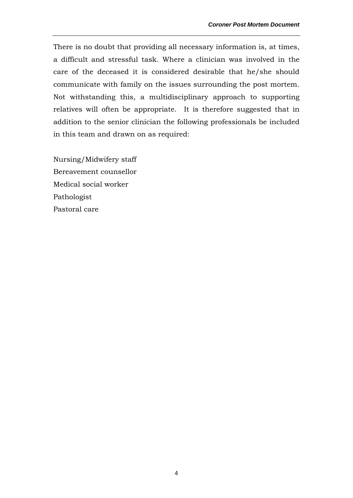There is no doubt that providing all necessary information is, at times, a difficult and stressful task. Where a clinician was involved in the care of the deceased it is considered desirable that he/she should communicate with family on the issues surrounding the post mortem. Not withstanding this, a multidisciplinary approach to supporting relatives will often be appropriate. It is therefore suggested that in addition to the senior clinician the following professionals be included in this team and drawn on as required:

Nursing/Midwifery staff Bereavement counsellor Medical social worker Pathologist Pastoral care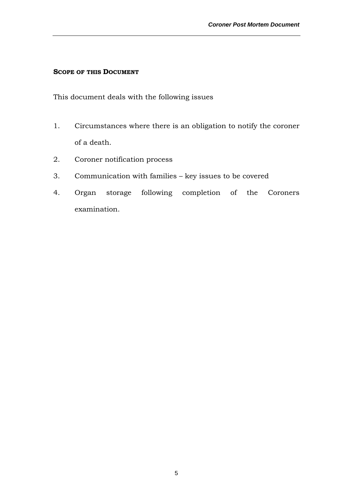#### **SCOPE OF THIS DOCUMENT**

This document deals with the following issues

- 1. Circumstances where there is an obligation to notify the coroner of a death.
- 2. Coroner notification process
- 3. Communication with families key issues to be covered
- 4. Organ storage following completion of the Coroners examination.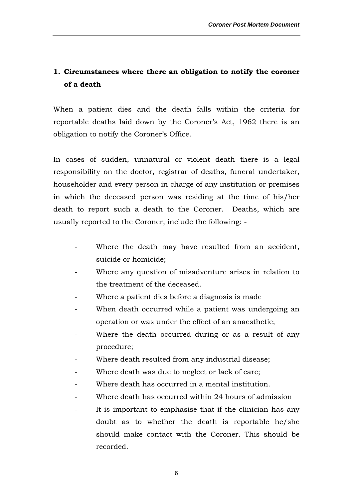# **1. Circumstances where there an obligation to notify the coroner of a death**

When a patient dies and the death falls within the criteria for reportable deaths laid down by the Coroner's Act, 1962 there is an obligation to notify the Coroner's Office.

In cases of sudden, unnatural or violent death there is a legal responsibility on the doctor, registrar of deaths, funeral undertaker, householder and every person in charge of any institution or premises in which the deceased person was residing at the time of his/her death to report such a death to the Coroner. Deaths, which are usually reported to the Coroner, include the following: -

- Where the death may have resulted from an accident, suicide or homicide;
- Where any question of misadventure arises in relation to the treatment of the deceased.
- Where a patient dies before a diagnosis is made.
- When death occurred while a patient was undergoing an operation or was under the effect of an anaesthetic;
- Where the death occurred during or as a result of any procedure;
- Where death resulted from any industrial disease;
- Where death was due to neglect or lack of care;
- Where death has occurred in a mental institution.
- Where death has occurred within 24 hours of admission
- It is important to emphasise that if the clinician has any doubt as to whether the death is reportable he/she should make contact with the Coroner. This should be recorded.

6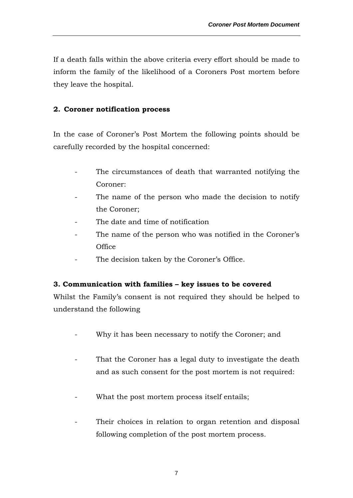If a death falls within the above criteria every effort should be made to inform the family of the likelihood of a Coroners Post mortem before they leave the hospital.

#### **2. Coroner notification process**

In the case of Coroner's Post Mortem the following points should be carefully recorded by the hospital concerned:

- The circumstances of death that warranted notifying the Coroner:
- The name of the person who made the decision to notify the Coroner;
- The date and time of notification
- The name of the person who was notified in the Coroner's **Office**
- The decision taken by the Coroner's Office.

#### **3. Communication with families – key issues to be covered**

Whilst the Family's consent is not required they should be helped to understand the following

- Why it has been necessary to notify the Coroner; and
- That the Coroner has a legal duty to investigate the death and as such consent for the post mortem is not required:
- What the post mortem process itself entails;
- Their choices in relation to organ retention and disposal following completion of the post mortem process.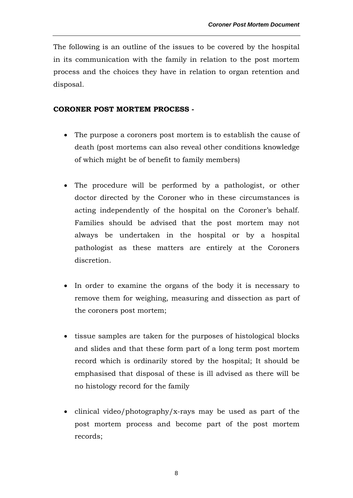The following is an outline of the issues to be covered by the hospital in its communication with the family in relation to the post mortem process and the choices they have in relation to organ retention and disposal.

#### **CORONER POST MORTEM PROCESS -**

- The purpose a coroners post mortem is to establish the cause of death (post mortems can also reveal other conditions knowledge of which might be of benefit to family members)
- The procedure will be performed by a pathologist, or other doctor directed by the Coroner who in these circumstances is acting independently of the hospital on the Coroner's behalf. Families should be advised that the post mortem may not always be undertaken in the hospital or by a hospital pathologist as these matters are entirely at the Coroners discretion.
- In order to examine the organs of the body it is necessary to remove them for weighing, measuring and dissection as part of the coroners post mortem;
- tissue samples are taken for the purposes of histological blocks and slides and that these form part of a long term post mortem record which is ordinarily stored by the hospital; It should be emphasised that disposal of these is ill advised as there will be no histology record for the family
- clinical video/photography/x-rays may be used as part of the post mortem process and become part of the post mortem records;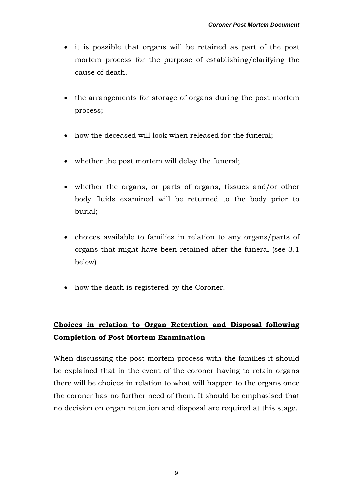- it is possible that organs will be retained as part of the post mortem process for the purpose of establishing/clarifying the cause of death.
- the arrangements for storage of organs during the post mortem process;
- how the deceased will look when released for the funeral;
- whether the post mortem will delay the funeral;
- whether the organs, or parts of organs, tissues and/or other body fluids examined will be returned to the body prior to burial;
- choices available to families in relation to any organs/parts of organs that might have been retained after the funeral (see 3.1 below)
- how the death is registered by the Coroner.

# **Choices in relation to Organ Retention and Disposal following Completion of Post Mortem Examination**

When discussing the post mortem process with the families it should be explained that in the event of the coroner having to retain organs there will be choices in relation to what will happen to the organs once the coroner has no further need of them. It should be emphasised that no decision on organ retention and disposal are required at this stage.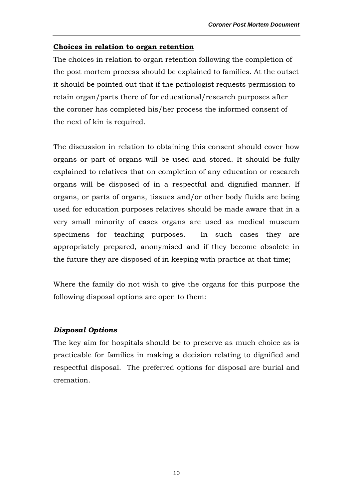#### **Choices in relation to organ retention**

The choices in relation to organ retention following the completion of the post mortem process should be explained to families. At the outset it should be pointed out that if the pathologist requests permission to retain organ/parts there of for educational/research purposes after the coroner has completed his/her process the informed consent of the next of kin is required.

The discussion in relation to obtaining this consent should cover how organs or part of organs will be used and stored. It should be fully explained to relatives that on completion of any education or research organs will be disposed of in a respectful and dignified manner. If organs, or parts of organs, tissues and/or other body fluids are being used for education purposes relatives should be made aware that in a very small minority of cases organs are used as medical museum specimens for teaching purposes. In such cases they are appropriately prepared, anonymised and if they become obsolete in the future they are disposed of in keeping with practice at that time;

Where the family do not wish to give the organs for this purpose the following disposal options are open to them:

#### *Disposal Options*

The key aim for hospitals should be to preserve as much choice as is practicable for families in making a decision relating to dignified and respectful disposal. The preferred options for disposal are burial and cremation.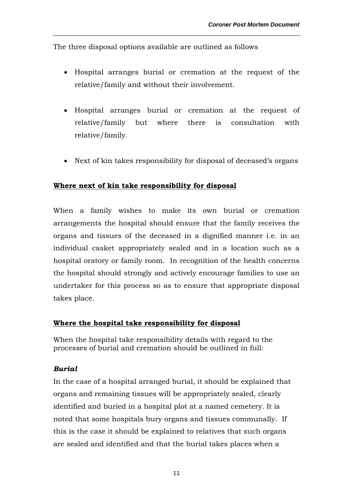The three disposal options available are outlined as follows

- Hospital arranges burial or cremation at the request of the relative/family and without their involvement.
- Hospital arranges burial or cremation at the request of relative/family but where there is consultation with relative/family.
- Next of kin takes responsibility for disposal of deceased's organs

#### **Where next of kin take responsibility for disposal**

When a family wishes to make its own burial or cremation arrangements the hospital should ensure that the family receives the organs and tissues of the deceased in a dignified manner i.e. in an individual casket appropriately sealed and in a location such as a hospital oratory or family room. In recognition of the health concerns the hospital should strongly and actively encourage families to use an undertaker for this process so as to ensure that appropriate disposal takes place.

#### **Where the hospital take responsibility for disposal**

When the hospital take responsibility details with regard to the processes of burial and cremation should be outlined in full:

#### *Burial*

In the case of a hospital arranged burial, it should be explained that organs and remaining tissues will be appropriately sealed, clearly identified and buried in a hospital plot at a named cemetery. It is noted that some hospitals bury organs and tissues communally. If this is the case it should be explained to relatives that such organs are sealed and identified and that the burial takes places when a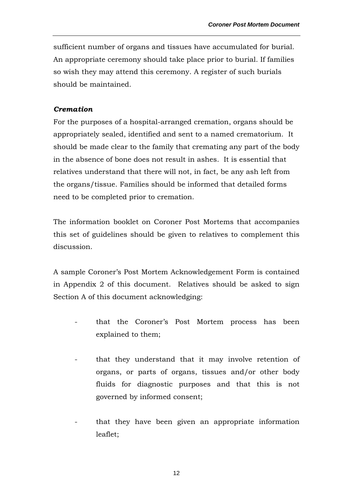sufficient number of organs and tissues have accumulated for burial. An appropriate ceremony should take place prior to burial. If families so wish they may attend this ceremony. A register of such burials should be maintained.

#### *Cremation*

For the purposes of a hospital-arranged cremation, organs should be appropriately sealed, identified and sent to a named crematorium. It should be made clear to the family that cremating any part of the body in the absence of bone does not result in ashes. It is essential that relatives understand that there will not, in fact, be any ash left from the organs/tissue. Families should be informed that detailed forms need to be completed prior to cremation.

The information booklet on Coroner Post Mortems that accompanies this set of guidelines should be given to relatives to complement this discussion.

A sample Coroner's Post Mortem Acknowledgement Form is contained in Appendix 2 of this document. Relatives should be asked to sign Section A of this document acknowledging:

- that the Coroner's Post Mortem process has been explained to them;
- that they understand that it may involve retention of organs, or parts of organs, tissues and/or other body fluids for diagnostic purposes and that this is not governed by informed consent;
- that they have been given an appropriate information leaflet;

12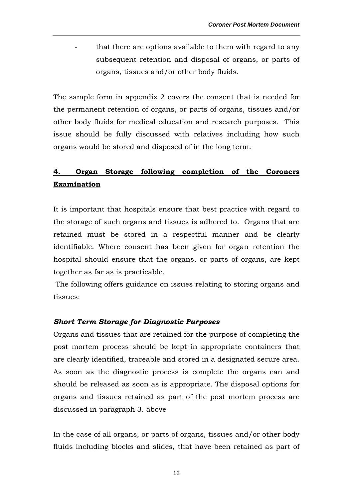that there are options available to them with regard to any subsequent retention and disposal of organs, or parts of organs, tissues and/or other body fluids.

The sample form in appendix 2 covers the consent that is needed for the permanent retention of organs, or parts of organs, tissues and/or other body fluids for medical education and research purposes. This issue should be fully discussed with relatives including how such organs would be stored and disposed of in the long term.

# **4. Organ Storage following completion of the Coroners Examination**

It is important that hospitals ensure that best practice with regard to the storage of such organs and tissues is adhered to. Organs that are retained must be stored in a respectful manner and be clearly identifiable. Where consent has been given for organ retention the hospital should ensure that the organs, or parts of organs, are kept together as far as is practicable.

 The following offers guidance on issues relating to storing organs and tissues:

#### *Short Term Storage for Diagnostic Purposes*

Organs and tissues that are retained for the purpose of completing the post mortem process should be kept in appropriate containers that are clearly identified, traceable and stored in a designated secure area. As soon as the diagnostic process is complete the organs can and should be released as soon as is appropriate. The disposal options for organs and tissues retained as part of the post mortem process are discussed in paragraph 3. above

In the case of all organs, or parts of organs, tissues and/or other body fluids including blocks and slides, that have been retained as part of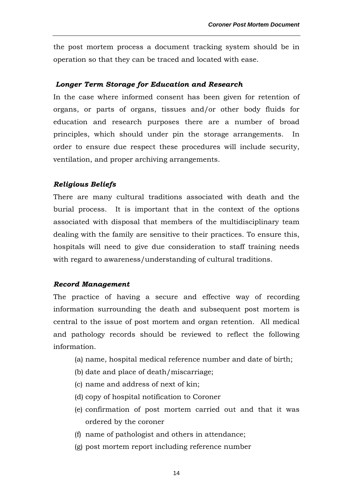the post mortem process a document tracking system should be in operation so that they can be traced and located with ease.

#### *Longer Term Storage for Education and Research*

In the case where informed consent has been given for retention of organs, or parts of organs, tissues and/or other body fluids for education and research purposes there are a number of broad principles, which should under pin the storage arrangements. In order to ensure due respect these procedures will include security, ventilation, and proper archiving arrangements.

#### *Religious Beliefs*

There are many cultural traditions associated with death and the burial process. It is important that in the context of the options associated with disposal that members of the multidisciplinary team dealing with the family are sensitive to their practices. To ensure this, hospitals will need to give due consideration to staff training needs with regard to awareness/understanding of cultural traditions.

#### *Record Management*

The practice of having a secure and effective way of recording information surrounding the death and subsequent post mortem is central to the issue of post mortem and organ retention. All medical and pathology records should be reviewed to reflect the following information.

- (a) name, hospital medical reference number and date of birth;
- (b) date and place of death/miscarriage;
- (c) name and address of next of kin;
- (d) copy of hospital notification to Coroner
- (e) confirmation of post mortem carried out and that it was ordered by the coroner
- (f) name of pathologist and others in attendance;
- (g) post mortem report including reference number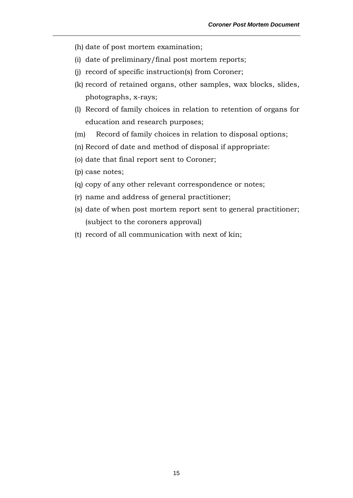- (h) date of post mortem examination;
- (i) date of preliminary/final post mortem reports;
- (j) record of specific instruction(s) from Coroner;
- (k) record of retained organs, other samples, wax blocks, slides, photographs, x-rays;
- (l) Record of family choices in relation to retention of organs for education and research purposes;
- (m) Record of family choices in relation to disposal options;
- (n) Record of date and method of disposal if appropriate:
- (o) date that final report sent to Coroner;
- (p) case notes;
- (q) copy of any other relevant correspondence or notes;
- (r) name and address of general practitioner;
- (s) date of when post mortem report sent to general practitioner; (subject to the coroners approval)
- (t) record of all communication with next of kin;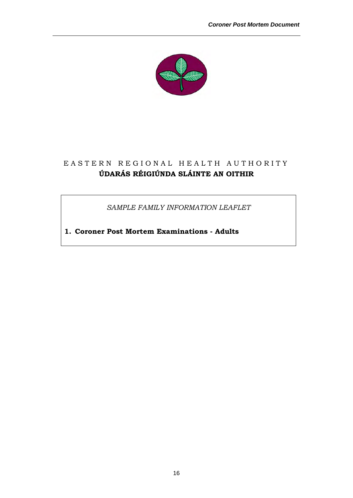

# EASTERN REGIONAL HEALTH AUTHORITY **ÚDARÁS RÉIGIÚNDA SLÁINTE AN OITHIR**

*SAMPLE FAMILY INFORMATION LEAFLET* 

**1. Coroner Post Mortem Examinations - Adults**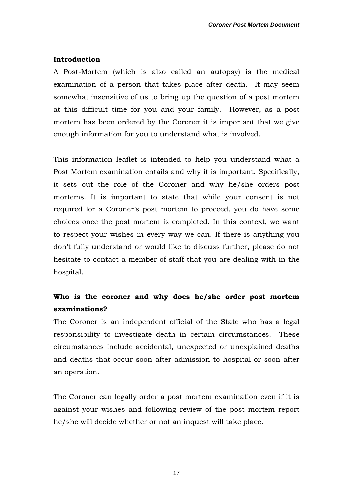#### **Introduction**

A Post-Mortem (which is also called an autopsy) is the medical examination of a person that takes place after death. It may seem somewhat insensitive of us to bring up the question of a post mortem at this difficult time for you and your family. However, as a post mortem has been ordered by the Coroner it is important that we give enough information for you to understand what is involved.

This information leaflet is intended to help you understand what a Post Mortem examination entails and why it is important. Specifically, it sets out the role of the Coroner and why he/she orders post mortems. It is important to state that while your consent is not required for a Coroner's post mortem to proceed, you do have some choices once the post mortem is completed. In this context, we want to respect your wishes in every way we can. If there is anything you don't fully understand or would like to discuss further, please do not hesitate to contact a member of staff that you are dealing with in the hospital.

# **Who is the coroner and why does he/she order post mortem examinations?**

The Coroner is an independent official of the State who has a legal responsibility to investigate death in certain circumstances. These circumstances include accidental, unexpected or unexplained deaths and deaths that occur soon after admission to hospital or soon after an operation.

The Coroner can legally order a post mortem examination even if it is against your wishes and following review of the post mortem report he/she will decide whether or not an inquest will take place.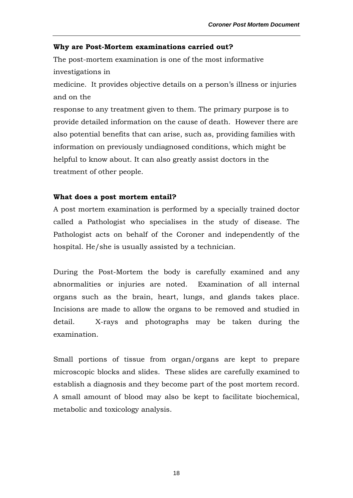#### **Why are Post-Mortem examinations carried out?**

The post-mortem examination is one of the most informative investigations in

medicine. It provides objective details on a person's illness or injuries and on the

response to any treatment given to them. The primary purpose is to provide detailed information on the cause of death. However there are also potential benefits that can arise, such as, providing families with information on previously undiagnosed conditions, which might be helpful to know about. It can also greatly assist doctors in the treatment of other people.

#### **What does a post mortem entail?**

A post mortem examination is performed by a specially trained doctor called a Pathologist who specialises in the study of disease. The Pathologist acts on behalf of the Coroner and independently of the hospital. He/she is usually assisted by a technician.

During the Post-Mortem the body is carefully examined and any abnormalities or injuries are noted. Examination of all internal organs such as the brain, heart, lungs, and glands takes place. Incisions are made to allow the organs to be removed and studied in detail. X-rays and photographs may be taken during the examination.

Small portions of tissue from organ/organs are kept to prepare microscopic blocks and slides. These slides are carefully examined to establish a diagnosis and they become part of the post mortem record. A small amount of blood may also be kept to facilitate biochemical, metabolic and toxicology analysis.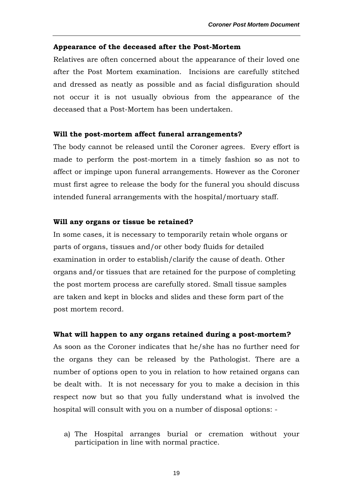#### **Appearance of the deceased after the Post-Mortem**

Relatives are often concerned about the appearance of their loved one after the Post Mortem examination. Incisions are carefully stitched and dressed as neatly as possible and as facial disfiguration should not occur it is not usually obvious from the appearance of the deceased that a Post-Mortem has been undertaken.

#### **Will the post-mortem affect funeral arrangements?**

The body cannot be released until the Coroner agrees. Every effort is made to perform the post-mortem in a timely fashion so as not to affect or impinge upon funeral arrangements. However as the Coroner must first agree to release the body for the funeral you should discuss intended funeral arrangements with the hospital/mortuary staff.

#### **Will any organs or tissue be retained?**

In some cases, it is necessary to temporarily retain whole organs or parts of organs, tissues and/or other body fluids for detailed examination in order to establish/clarify the cause of death. Other organs and/or tissues that are retained for the purpose of completing the post mortem process are carefully stored. Small tissue samples are taken and kept in blocks and slides and these form part of the post mortem record.

#### **What will happen to any organs retained during a post-mortem?**

As soon as the Coroner indicates that he/she has no further need for the organs they can be released by the Pathologist. There are a number of options open to you in relation to how retained organs can be dealt with. It is not necessary for you to make a decision in this respect now but so that you fully understand what is involved the hospital will consult with you on a number of disposal options: -

a) The Hospital arranges burial or cremation without your participation in line with normal practice.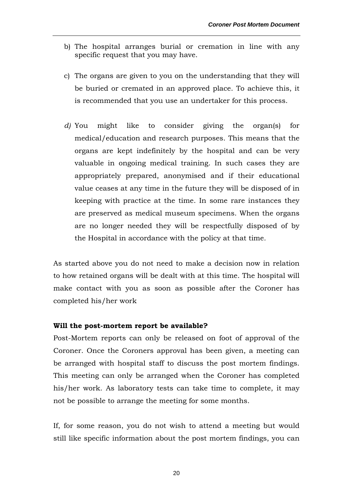- b) The hospital arranges burial or cremation in line with any specific request that you may have.
- c) The organs are given to you on the understanding that they will be buried or cremated in an approved place. To achieve this, it is recommended that you use an undertaker for this process.
- *d)* You might like to consider giving the organ(s) for medical/education and research purposes. This means that the organs are kept indefinitely by the hospital and can be very valuable in ongoing medical training. In such cases they are appropriately prepared, anonymised and if their educational value ceases at any time in the future they will be disposed of in keeping with practice at the time. In some rare instances they are preserved as medical museum specimens. When the organs are no longer needed they will be respectfully disposed of by the Hospital in accordance with the policy at that time*.*

As started above you do not need to make a decision now in relation to how retained organs will be dealt with at this time. The hospital will make contact with you as soon as possible after the Coroner has completed his/her work

#### **Will the post-mortem report be available?**

Post-Mortem reports can only be released on foot of approval of the Coroner. Once the Coroners approval has been given, a meeting can be arranged with hospital staff to discuss the post mortem findings. This meeting can only be arranged when the Coroner has completed his/her work. As laboratory tests can take time to complete, it may not be possible to arrange the meeting for some months.

If, for some reason, you do not wish to attend a meeting but would still like specific information about the post mortem findings, you can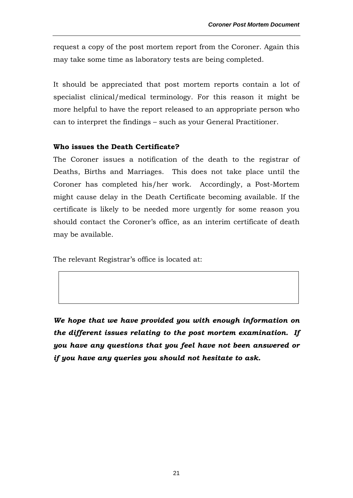request a copy of the post mortem report from the Coroner. Again this may take some time as laboratory tests are being completed.

It should be appreciated that post mortem reports contain a lot of specialist clinical/medical terminology. For this reason it might be more helpful to have the report released to an appropriate person who can to interpret the findings – such as your General Practitioner.

#### **Who issues the Death Certificate?**

The Coroner issues a notification of the death to the registrar of Deaths, Births and Marriages. This does not take place until the Coroner has completed his/her work. Accordingly, a Post-Mortem might cause delay in the Death Certificate becoming available. If the certificate is likely to be needed more urgently for some reason you should contact the Coroner's office, as an interim certificate of death may be available.

The relevant Registrar's office is located at:

*We hope that we have provided you with enough information on the different issues relating to the post mortem examination. If you have any questions that you feel have not been answered or if you have any queries you should not hesitate to ask.*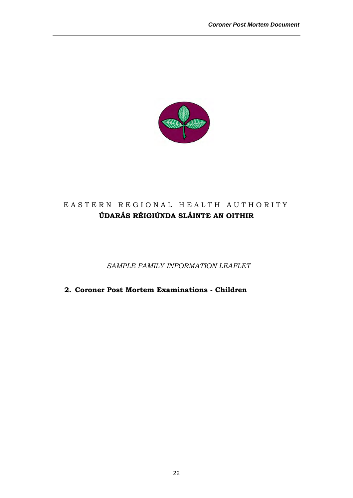

# EASTERN REGIONAL HEALTH AUTHORITY **ÚDARÁS RÉIGIÚNDA SLÁINTE AN OITHIR**

*SAMPLE FAMILY INFORMATION LEAFLET* 

**2. Coroner Post Mortem Examinations - Children**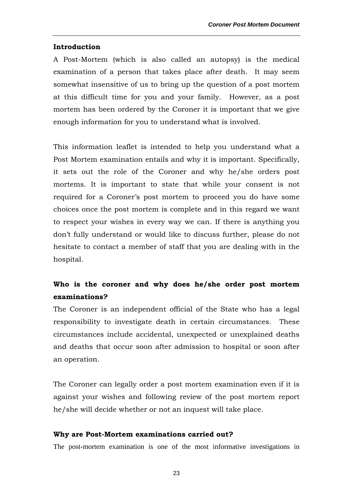#### **Introduction**

A Post-Mortem (which is also called an autopsy) is the medical examination of a person that takes place after death. It may seem somewhat insensitive of us to bring up the question of a post mortem at this difficult time for you and your family. However, as a post mortem has been ordered by the Coroner it is important that we give enough information for you to understand what is involved.

This information leaflet is intended to help you understand what a Post Mortem examination entails and why it is important. Specifically, it sets out the role of the Coroner and why he/she orders post mortems. It is important to state that while your consent is not required for a Coroner's post mortem to proceed you do have some choices once the post mortem is complete and in this regard we want to respect your wishes in every way we can. If there is anything you don't fully understand or would like to discuss further, please do not hesitate to contact a member of staff that you are dealing with in the hospital.

# **Who is the coroner and why does he/she order post mortem examinations?**

The Coroner is an independent official of the State who has a legal responsibility to investigate death in certain circumstances. These circumstances include accidental, unexpected or unexplained deaths and deaths that occur soon after admission to hospital or soon after an operation.

The Coroner can legally order a post mortem examination even if it is against your wishes and following review of the post mortem report he/she will decide whether or not an inquest will take place.

#### **Why are Post-Mortem examinations carried out?**

The post-mortem examination is one of the most informative investigations in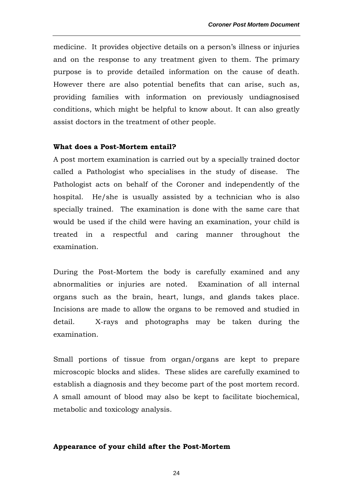medicine. It provides objective details on a person's illness or injuries and on the response to any treatment given to them. The primary purpose is to provide detailed information on the cause of death. However there are also potential benefits that can arise, such as, providing families with information on previously undiagnosised conditions, which might be helpful to know about. It can also greatly assist doctors in the treatment of other people.

#### **What does a Post-Mortem entail?**

A post mortem examination is carried out by a specially trained doctor called a Pathologist who specialises in the study of disease. The Pathologist acts on behalf of the Coroner and independently of the hospital. He/she is usually assisted by a technician who is also specially trained. The examination is done with the same care that would be used if the child were having an examination, your child is treated in a respectful and caring manner throughout the examination.

During the Post-Mortem the body is carefully examined and any abnormalities or injuries are noted. Examination of all internal organs such as the brain, heart, lungs, and glands takes place. Incisions are made to allow the organs to be removed and studied in detail. X-rays and photographs may be taken during the examination.

Small portions of tissue from organ/organs are kept to prepare microscopic blocks and slides. These slides are carefully examined to establish a diagnosis and they become part of the post mortem record. A small amount of blood may also be kept to facilitate biochemical, metabolic and toxicology analysis.

#### **Appearance of your child after the Post-Mortem**

24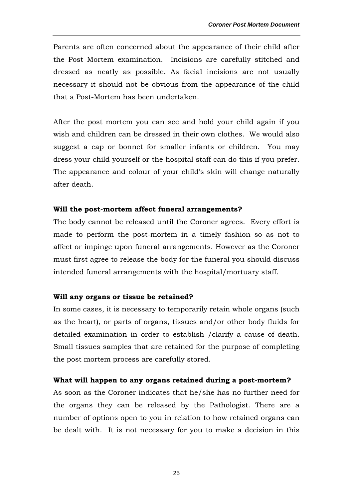Parents are often concerned about the appearance of their child after the Post Mortem examination. Incisions are carefully stitched and dressed as neatly as possible. As facial incisions are not usually necessary it should not be obvious from the appearance of the child that a Post-Mortem has been undertaken.

After the post mortem you can see and hold your child again if you wish and children can be dressed in their own clothes. We would also suggest a cap or bonnet for smaller infants or children. You may dress your child yourself or the hospital staff can do this if you prefer. The appearance and colour of your child's skin will change naturally after death.

#### **Will the post-mortem affect funeral arrangements?**

The body cannot be released until the Coroner agrees. Every effort is made to perform the post-mortem in a timely fashion so as not to affect or impinge upon funeral arrangements. However as the Coroner must first agree to release the body for the funeral you should discuss intended funeral arrangements with the hospital/mortuary staff.

#### **Will any organs or tissue be retained?**

In some cases, it is necessary to temporarily retain whole organs (such as the heart), or parts of organs, tissues and/or other body fluids for detailed examination in order to establish /clarify a cause of death. Small tissues samples that are retained for the purpose of completing the post mortem process are carefully stored.

#### **What will happen to any organs retained during a post-mortem?**

As soon as the Coroner indicates that he/she has no further need for the organs they can be released by the Pathologist. There are a number of options open to you in relation to how retained organs can be dealt with. It is not necessary for you to make a decision in this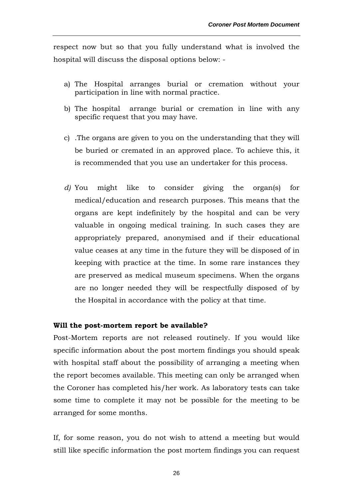respect now but so that you fully understand what is involved the hospital will discuss the disposal options below: -

- a) The Hospital arranges burial or cremation without your participation in line with normal practice.
- b) The hospital arrange burial or cremation in line with any specific request that you may have.
- c) .The organs are given to you on the understanding that they will be buried or cremated in an approved place. To achieve this, it is recommended that you use an undertaker for this process.
- *d)* You might like to consider giving the organ(s) for medical/education and research purposes. This means that the organs are kept indefinitely by the hospital and can be very valuable in ongoing medical training. In such cases they are appropriately prepared, anonymised and if their educational value ceases at any time in the future they will be disposed of in keeping with practice at the time. In some rare instances they are preserved as medical museum specimens. When the organs are no longer needed they will be respectfully disposed of by the Hospital in accordance with the policy at that time*.*

#### **Will the post-mortem report be available?**

Post-Mortem reports are not released routinely. If you would like specific information about the post mortem findings you should speak with hospital staff about the possibility of arranging a meeting when the report becomes available. This meeting can only be arranged when the Coroner has completed his/her work. As laboratory tests can take some time to complete it may not be possible for the meeting to be arranged for some months.

If, for some reason, you do not wish to attend a meeting but would still like specific information the post mortem findings you can request